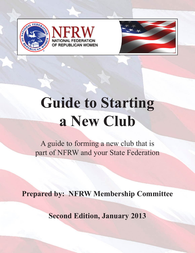



# **Guide to Starting a New Club**

A guide to forming a new club that is part of NFRW and your State Federation

**Prepared by: NFRW Membership Committee** 

**Second Edition, January 2013**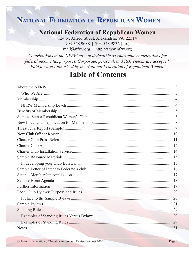# NATIONAL FEDERATION OF REPUBLICAN WOMEN

### **National Federation of Republican Women**

124 N. Alfred Street, Alexandria, VA 22314 703.548.9688 | 703.548.9836 (fax)  $mail@nfrw.org$  | http://www.nfrw.org

Contributions to the NFRW are not deductible as charitable contributions for federal income tax purposes. Corporate, personal, and PAC checks are accepted. Paid for and Authorized by the National Federation of Republican Women.

# **Table of Contents**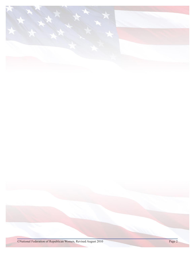

©National Federation of Republican Women, Revised August 2010 Page 2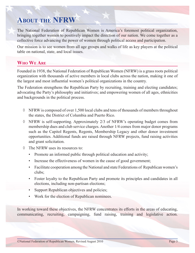### **About the NFRW**

The National Federation of Republican Women is America's foremost political organization, bringing together women to positively impact the direction of our nation. We come together as a collective force advancing the power of women through political access and participation.

Our mission is to see women from all age groups and walks of life as key players at the political table on national, state, and local issues.

#### **Who We Are**

Founded in 1938, the National Federation of Republican Women (NFRW) is a grass roots political organization with thousands of active members in local clubs across the nation, making it one of the largest and most influential women's political organizations in the country.

The Federation strengthens the Republican Party by recruiting, training and electing candidates; advocating the Party's philosophy and initiatives; and empowering women of all ages, ethnicities and backgrounds in the political process.

- ◊ NFRW is composed of over 1,500 local clubs and tens of thousands of members throughout the states, the District of Columbia and Puerto Rico.
- ◊ NFRW is self-supporting. Approximately 2/3 of NFRW's operating budget comes from membership dues and club service charges. Another 1/4 comes from major donor programs such as the Capitol Regents, Regents, Membership Legacy and other donor investment opportunities. Additional funds are raised through NFRW projects, fund raising activities and grant solicitation.
- The NFRW uses its resources to:
	- Promote an informed public through political education and activity;
	- Increase the effectiveness of women in the cause of good government;
	- Facilitate cooperation among the National and state Federations of Republican women's clubs;
	- Foster loyalty to the Republican Party and promote its principles and candidates in all elections, including non-partisan elections;
	- Support Republican objectives and policies;
	- Work for the election of Republican nominees.

In working toward these objectives, the NFRW concentrates its efforts in the areas of educating, communicating, recruiting, campaigning, fund raising, training and legislative action.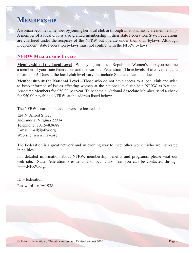### **Membership**

A woman becomes a member by joining her local club or through a national associate membership. A member of a local club is also granted membership in their state Federation. State Federations are chartered under the auspices of the NFRW but operate under their own bylaws. Although independent, state Federation bylaws must not conflict with the NFRW bylaws.

#### **NFRW Membership Levels**

**Membership at the Local Level** – When you join a local Republican Women's club, you become a member of your state federations and the National Federation! Three levels of involvement and information! Dues at the local club level vary but include State and National dues.

**Membership at the National Level** –. Those who do not have access to a local club and wish to keep informed of issues affecting women at the national level can join NFRW as National Associate Members for \$50.00 per year. To become a National Associate Member, send a check for \$50.00 payable to NFRW at the address listed below:

The NFRW's national headquarters are located at:

124 N. Alfred Street Alexandria, Virginia 22314 Telephone: 703.548.9688 E-mail: mail@nfrw.org Web site: www.nfrw.org

The Federation is a great network and an exciting way to meet other women who are interested in politics.

For detailed information about NFRW, membership benefits and programs, please visit our web site. State Federation Presidents and local clubs near you can be contacted through www.NFRW.org.

ID – federation Password – nfrw1938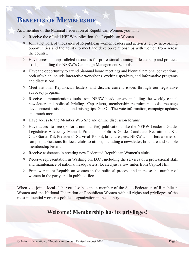# **Benefits of Membership**

As a member of the National Federation of Republican Women, you will:

- ◊ Receive the official NFRW publication, the Republican Woman.
- ◊ Join a network of thousands of Republican women leaders and activists; enjoy networking opportunities and the ability to meet and develop relationships with women from across the country.
- ◊ Have access to unparalleled resources for professional training in leadership and political skills, including the NFRW's Campaign Management Schools.
- ◊ Have the opportunity to attend biannual board meetings and biennial national conventions, both of which include interactive workshops, exciting speakers, and informative programs and discussions.
- ◊ Meet national Republican leaders and discuss current issues through our legislative advocacy program.
- ◊ Receive communications tools from NFRW headquarters, including the weekly e-mail newsletter and political briefing, Cap Alerts, membership recruitment tools, message development assistance, fund raising tips, Get Out The Vote information, campaign updates and much more.
- ◊ Have access to the Member Web Site and online discussion forums.
- ◊ Have access to free (or for a nominal fee) publications like the NFRW Leader's Guide, Legislative Advocacy Manual, Protocol in Politics Guide, Candidate Recruitment Kit, Club Starter Kit, President's Survival Toolkit, brochures, etc. NFRW also offers a series of sample publications for local clubs to utilize, including a newsletter, brochure and sample membership letters.
- ◊ Receive assistance in creating new Federated Republican Women's clubs.
- $\Diamond$  Receive representation in Washington, D.C., including the services of a professional staff and maintenance of national headquarters, located just a few miles from Capitol Hill.
- ◊ Empower more Republican women in the political process and increase the number of women in the party and in public office.

When you join a local club, you also become a member of the State Federation of Republican Women and the National Federation of Republican Women with all rights and privileges of the most influential women's political organization in the country.

### **Welcome! Membership has its privileges!**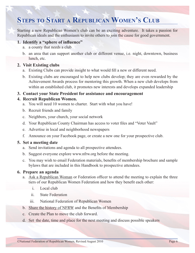# **Steps to Start <sup>a</sup> Republican Women's Club**

Starting a new Republican Women's club can be an exciting adventure. It takes a passion for Republican ideals and the enthusiasm to invite others to join the cause for good government.

#### **1. Identify a "sphere of influence"**

- a. a county that needs a club
- b. an area that can support another club or different venue, i.e. night, downtown, business lunch, etc.

#### **2. Visit Existing clubs**

- a. Existing Clubs can provide insight to what would fill a new or different need.
- b. Existing clubs are encouraged to help new clubs develop; they are even rewarded by the Achievement Awards process for mentoring this growth. When a new club develops from within an established club, it promotes new interests and develops expanded leadership

#### **3. Contact your State President for assistance and encouragement**

#### **4. Recruit Republican Women.**

- a. You will need 10 women to charter. Start with what you have!
- b. Recruit friends and family
- c. Neighbors, your church, your social network
- d. Your Republican County Chairman has access to voter files and "Voter Vault"
- e. Advertise in local and neighborhood newspapers
- f. Announce on your Facebook page, or create a new one for your prospective club.

#### **5. Set a meeting date**

- a. Send invitations and agenda to all prospective attendees.
- b. Suggest everyone explore www.nfrw.org before the meeting.
- c. You may wish to email Federation materials, benefits of membership brochure and sample bylaws that are included in this Handbook to prospective attendees.

#### **6. Prepare an agenda**

- a. Ask a Republican Woman or Federation officer to attend the meeting to explain the three tiers of our Republican Women Federation and how they benefit each other:
	- i. Local club
	- ii. State Federation
	- iii. National Federation of Republican Women
- b. Share the history of NFRW and the Benefits of Membership
- c. Create the Plan to move the club forward.
- d. Set the date, time and place for the next meeting and discuss possible speakers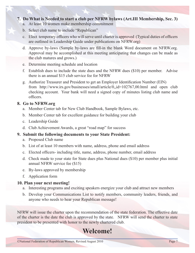#### **7. Do What is Needed to start a club per NFRW bylaws (Art.III Membership, Sec. 3)**

- a. At least 10 women make membership commitment
- b. Select club name to include "Republican"
- c. Elect temporary officers who will serve until charter is approved (Typical duties of officers are outlined in Leadership Guide under publications on NFRW.org)
- d. Approve by-laws (Sample by-laws are fill-in the blank Word document on NFRW.org. Approval may be accomplished at this meeting anticipating that changes can be made as the club matures and grows.)
- e. Determine meeting schedule and location
- f. Establish dues to include the state dues and the NFRW dues (\$10) per member. Advise there is an annual \$15 club service fee for NFRW
- g. Authorize Treasurer and President to get an Employer Identification Number (EIN) from http://www.irs.gov/businesses/small/article/0,,id=102767,00.html and open club checking account. Your bank will need a signed copy of minutes listing club name and officers.

#### **8. Go to NFRW.org**

- a. Member Center tab for New Club Handbook, Sample Bylaws, etc.
- b. Member Center tab for excellent guidance for building your club
- c. Leadership Guide
- d. Club Achievement Awards, a great "road map" for success

#### **9. Submit the following documents to your State President:**

- a. Proposed Club name
- b. List of at least 10 members with name, address, phone and email address
- c. Elected officers- including title, name, address, phone number, email address
- d. Check made to your state for State dues plus National dues (\$10) per member plus initial annual NFRW service fee (\$15)
- e. By-laws approved by membership
- f. Application form

#### **10. Plan your next meeting!**

- a. Interesting programs and exciting speakers energize your club and attract new members
- b. Develop your Communications List to notify members, community leaders, friends, and anyone who needs to hear your Republican message!

NFRW will issue the charter upon the recommendation of the state federation. The effective date of the charter is the date the club is approved by the state. NFRW will send the charter to state president to be presented with honor to the newly chartered club.

### **Welcome!**

©National Federation of Republican Women, Revised August 2010 Page 7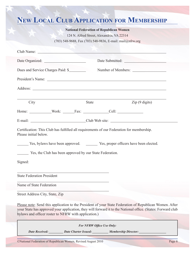# **New Local Club Application for Membership**

| (703) 548-9688, Fax (703) 548-9836, E-mail: mail@nfrw.org<br>Date Submitted:<br>Number of Members:<br>Dues and Service Charges Paid: \$<br>City<br>$\mathop{\mathrm{Zip}}\nolimits(9 \text{ digits})$<br><b>State</b><br>Certification: This Club has fulfilled all requirements of our Federation for membership.<br>Yes, bylaws have been approved. Yes, proper officers have been elected.<br>Example 2015. The Club has been approved by our State Federation.<br>Please note: Send this application to the President of your State Federation of Republican Women. After<br>your State has approved your application, they will forward it to the National office. (States: Forward club<br>bylaws and officer roster to NFRW with application.)<br>For NFRW Office Use Only:<br>Date Received: __________ Date Charter Issued: ___________ Membership Director: ____________ |                                   | <b>National Federation of Republican Women</b><br>124 N. Alfred Street, Alexandria, VA 22314 |  |
|------------------------------------------------------------------------------------------------------------------------------------------------------------------------------------------------------------------------------------------------------------------------------------------------------------------------------------------------------------------------------------------------------------------------------------------------------------------------------------------------------------------------------------------------------------------------------------------------------------------------------------------------------------------------------------------------------------------------------------------------------------------------------------------------------------------------------------------------------------------------------------|-----------------------------------|----------------------------------------------------------------------------------------------|--|
|                                                                                                                                                                                                                                                                                                                                                                                                                                                                                                                                                                                                                                                                                                                                                                                                                                                                                    |                                   |                                                                                              |  |
|                                                                                                                                                                                                                                                                                                                                                                                                                                                                                                                                                                                                                                                                                                                                                                                                                                                                                    |                                   |                                                                                              |  |
|                                                                                                                                                                                                                                                                                                                                                                                                                                                                                                                                                                                                                                                                                                                                                                                                                                                                                    |                                   |                                                                                              |  |
|                                                                                                                                                                                                                                                                                                                                                                                                                                                                                                                                                                                                                                                                                                                                                                                                                                                                                    |                                   |                                                                                              |  |
|                                                                                                                                                                                                                                                                                                                                                                                                                                                                                                                                                                                                                                                                                                                                                                                                                                                                                    |                                   |                                                                                              |  |
|                                                                                                                                                                                                                                                                                                                                                                                                                                                                                                                                                                                                                                                                                                                                                                                                                                                                                    |                                   |                                                                                              |  |
|                                                                                                                                                                                                                                                                                                                                                                                                                                                                                                                                                                                                                                                                                                                                                                                                                                                                                    |                                   |                                                                                              |  |
|                                                                                                                                                                                                                                                                                                                                                                                                                                                                                                                                                                                                                                                                                                                                                                                                                                                                                    |                                   |                                                                                              |  |
|                                                                                                                                                                                                                                                                                                                                                                                                                                                                                                                                                                                                                                                                                                                                                                                                                                                                                    |                                   |                                                                                              |  |
|                                                                                                                                                                                                                                                                                                                                                                                                                                                                                                                                                                                                                                                                                                                                                                                                                                                                                    | Please initial below.             |                                                                                              |  |
|                                                                                                                                                                                                                                                                                                                                                                                                                                                                                                                                                                                                                                                                                                                                                                                                                                                                                    |                                   |                                                                                              |  |
|                                                                                                                                                                                                                                                                                                                                                                                                                                                                                                                                                                                                                                                                                                                                                                                                                                                                                    |                                   |                                                                                              |  |
|                                                                                                                                                                                                                                                                                                                                                                                                                                                                                                                                                                                                                                                                                                                                                                                                                                                                                    | Signed:                           |                                                                                              |  |
|                                                                                                                                                                                                                                                                                                                                                                                                                                                                                                                                                                                                                                                                                                                                                                                                                                                                                    | <b>State Federation President</b> |                                                                                              |  |
|                                                                                                                                                                                                                                                                                                                                                                                                                                                                                                                                                                                                                                                                                                                                                                                                                                                                                    | Name of State Federation          |                                                                                              |  |
|                                                                                                                                                                                                                                                                                                                                                                                                                                                                                                                                                                                                                                                                                                                                                                                                                                                                                    | Street Address City, State, Zip   |                                                                                              |  |
|                                                                                                                                                                                                                                                                                                                                                                                                                                                                                                                                                                                                                                                                                                                                                                                                                                                                                    |                                   |                                                                                              |  |
|                                                                                                                                                                                                                                                                                                                                                                                                                                                                                                                                                                                                                                                                                                                                                                                                                                                                                    |                                   |                                                                                              |  |
|                                                                                                                                                                                                                                                                                                                                                                                                                                                                                                                                                                                                                                                                                                                                                                                                                                                                                    |                                   |                                                                                              |  |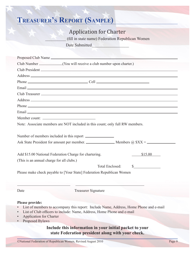# **Treasurer's Report (Sample)**

### Application for Charter

\_\_\_\_\_\_\_\_\_\_ (fill in state name) Federation Republican Women

Date Submitted

| Phone $\qquad \qquad \qquad \qquad \qquad \text{Cell}$                                 |  |  |  |  |  |  |  |  |
|----------------------------------------------------------------------------------------|--|--|--|--|--|--|--|--|
|                                                                                        |  |  |  |  |  |  |  |  |
|                                                                                        |  |  |  |  |  |  |  |  |
|                                                                                        |  |  |  |  |  |  |  |  |
|                                                                                        |  |  |  |  |  |  |  |  |
|                                                                                        |  |  |  |  |  |  |  |  |
|                                                                                        |  |  |  |  |  |  |  |  |
| Note: Associate members are NOT included in this count; only full RW members.          |  |  |  |  |  |  |  |  |
|                                                                                        |  |  |  |  |  |  |  |  |
| Number of members included in this report                                              |  |  |  |  |  |  |  |  |
|                                                                                        |  |  |  |  |  |  |  |  |
|                                                                                        |  |  |  |  |  |  |  |  |
| Add \$15.00 National Federation Charge for chartering.<br>\$15.00                      |  |  |  |  |  |  |  |  |
| (This is an annual charge for all clubs.)                                              |  |  |  |  |  |  |  |  |
| $\mathbb{S}$<br>Total Enclosed:                                                        |  |  |  |  |  |  |  |  |
| Please make check payable to [Your State] Federation Republican Women                  |  |  |  |  |  |  |  |  |
|                                                                                        |  |  |  |  |  |  |  |  |
|                                                                                        |  |  |  |  |  |  |  |  |
| <b>Treasurer Signature</b><br>Date                                                     |  |  |  |  |  |  |  |  |
|                                                                                        |  |  |  |  |  |  |  |  |
| <b>Please provide:</b>                                                                 |  |  |  |  |  |  |  |  |
| List of members to accompany this report: Include Name, Address, Home Phone and e-mail |  |  |  |  |  |  |  |  |
| List of Club officers to include: Name, Address, Home Phone and e-mail                 |  |  |  |  |  |  |  |  |
| <b>Application for Charter</b><br><b>Proposed Bylaws</b>                               |  |  |  |  |  |  |  |  |
| Include this information in your initial packet to your                                |  |  |  |  |  |  |  |  |
| state Federation president along with your check.                                      |  |  |  |  |  |  |  |  |
|                                                                                        |  |  |  |  |  |  |  |  |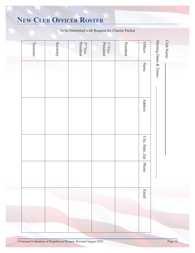# **New Club Officer Roster**

To be Submitted with Request for Charter Packet

|           |           | $2^{\rm nd}$ Vice |                                   |           | <b>Officer</b>   |                        |            |
|-----------|-----------|-------------------|-----------------------------------|-----------|------------------|------------------------|------------|
| Treasurer | Secretary | President         | $1^{\text{st}}$ Vice<br>President | President |                  |                        | Club Name: |
|           |           |                   |                                   |           | Name             | Meeting Dates & Times: |            |
|           |           |                   |                                   |           | Address          |                        |            |
|           |           |                   |                                   |           | City, State, Zip |                        |            |
|           |           |                   |                                   |           | Phone            |                        |            |
|           |           |                   |                                   |           | Email            |                        |            |
|           |           |                   |                                   |           |                  |                        |            |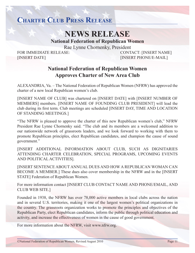### **Charter Club Press Release**

# **NEWS RELEASE**

**National Federation of Republican Women**

Rae Lynne Chornenky, President

FOR IMMEDIATE RELEASE: CONTACT: [INSERT NAME] [INSERT DATE] [INSERT PHONE/E-MAIL]

### **National Federation of Republican Women Approves Charter of New Area Club**

ALEXANDRIA, Va. – The National Federation of Republican Women (NFRW) has approved the charter of a new local Republican women's club.

[INSERT NAME OF CLUB] was chartered on [INSERT DATE] with [INSERT NUMBER OF MEMBERS] members. [INSERT NAME OF FOUNDING CLUB PRESIDENT] will lead the club during its first term. Club meetings are scheduled [INSERT DAY, TIME AND LOCATION OF STANDING MEETINGS.]

"The NFRW is pleased to approve the charter of this new Republican women's club," NFRW President Rae Lynne Chornenky said. "The club and its members are a welcomed addition to our nationwide network of grassroots leaders, and we look forward to working with them to promote Republican principles, elect Republican candidates, and champion the cause of sound government."

[INSERT ADDITIONAL INFORMATION ABOUT CLUB, SUCH AS DIGNITARIES ATTENDING CHARTER CELEBRATION, SPECIAL PROGRAMS, UPCOMING EVENTS AND POLITICAL ACTIVITIES].

[INSERT SENTENCE ABOUT ANNUAL DUES AND HOW A REPUBLICAN WOMAN CAN BECOME A MEMBER.] These dues also cover membership in the NFRW and in the [INSERT STATE] Federation of Republican Women.

For more information contact [INSERT CLUB CONTACT NAME AND PHONE/EMAIL, AND CLUB WEB SITE.]

Founded in 1938, the NFRW has over 78,000 active members in local clubs across the nation and in several U.S. territories, making it one of the largest women's political organizations in the country. The grassroots organization works to promote the principles and objectives of the Republican Party, elect Republican candidates, inform the public through political education and activity, and increase the effectiveness of women in the cause of good government.

For more information about the NFRW, visit www.nfrw.org.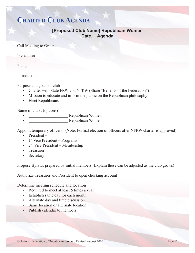**Charter Club Agenda**

#### **[Proposed Club Name] Republican Women Date, Agenda**

Call Meeting to Order –

Invocation

Pledge

Introductions

Purpose and goals of club

- Charter with State FRW and NFRW (Share "Benefits of the Federation")
- Mission to educate and inform the public on the Republican philosophy
- Elect Republicans

Name of club : (options)

- Republican Women
- Republican Women

Appoint temporary officers (Note: Formal election of officers after NFRW charter is approved)

- President –
- $\bullet$  1<sup>st</sup> Vice President Programs
- $2<sup>nd</sup>$  Vice President Membership
- Treasurer
- **Secretary**

Propose Bylaws prepared by initial members (Explain these can be adjusted as the club grows)

Authorize Treasurer and President to open checking account

Determine meeting schedule and location

- Required to meet at least 5 times a year
- Establish same day for each month
- Alternate day and time discussion
- Same location or alternate location
- Publish calendar to members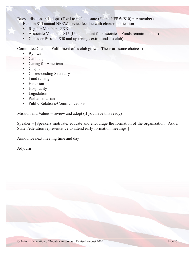Dues – discuss and adopt (Total to include state (?) and NFRW(\$10) per member) Explain \$15 annual NFRW service fee due with charter application

- Regular Member  $XX$
- Associate Member \$15 (Usual amount for associates. Funds remain in club.)
- Consider Patron \$50 and up (brings extra funds to club)

Committee Chairs – Fulfillment of as club grows. These are some choices.)

- Bylaws
- Campaign
- Caring for American
- Chaplain
- Corresponding Secretary
- Fund raising
- Historian
- Hospitality
- Legislation
- Parliamentarian
- Public Relations/Communications

Mission and Values – review and adopt (if you have this ready)

Speaker – [Speakers motivate, educate and encourage the formation of the organization. Ask a State Federation representative to attend early formation meetings.]

Announce next meeting time and day

Adjourn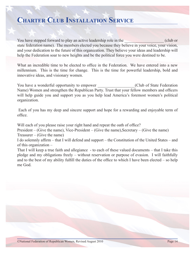# **Charter Club Installation Service**

You have stepped forward to play an active leadership role in the  $\Box$  (club or state federation name). The members elected you because they believe in your voice, your vision, and your dedication to the future of this organization. They believe your ideas and leadership will help the Federation soar to new heights and be the political force you were destined to be.

What an incredible time to be elected to office in the Federation. We have entered into a new millennium. This is the time for change. This is the time for powerful leadership, bold and innovative ideas, and visionary women.

You have a wonderful opportunity to empower (Club of State Federation) Name) Women and strengthen the Republican Party. Trust that your fellow members and officers will help guide you and support you as you help lead America's foremost women's political organization.

 Each of you has my deep and sincere support and hope for a rewarding and enjoyable term of office.

Will each of you please raise your right hand and repeat the oath of office?

President – (Give the name), Vice-President – (Give the name), Secretary – (Give the name) Treasurer – (Give the name)

I do solemnly affirm – that I will defend and support – the Constitution of the United States – and of this organization –

That I will keep a true faith and allegiance - to each of these valued documents – that I take this pledge and my obligations freely – without reservation or purpose of evasion. I will faithfully and to the best of my ability fulfill the duties of the office to which I have been elected – so help me God.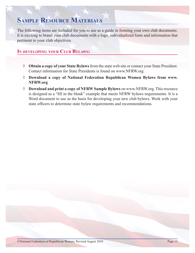### **Sample Resource Materials**

The following items are included for you to use as a guide in forming your own club documents. It is exciting to brand your club documents with a logo, individualized fonts and information that pertinent to your club objectives.

#### **In developing your Club Bylaws:**

- **◊ Obtain a copy of your State Bylaws** from the state web site or contact your State President. Contact information for State Presidents is found on www.NFRW.org
- **◊ Download a copy of National Federation Republican Women Bylaws from www. NFRW.org**
- **◊ Download and print a copy of NFRW Sample Bylaws** on www.NFRW.org. This resource is designed as a "fill in the blank" example that meets NFRW bylaws requirements. It is a Word document to use as the basis for developing your new club bylaws. Work with your state officers to determine state bylaw requirements and recommendations.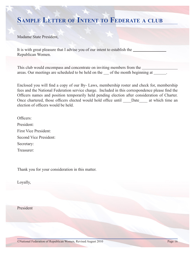# **Sample Letter of Intent to Federate <sup>a</sup> club**

Madame State President,

It is with great pleasure that I advise you of our intent to establish the Republican Women.

This club would encompass and concentrate on inviting members from the areas. Our meetings are scheduled to be held on the of the month beginning at ...

Enclosed you will find a copy of our By- Laws, membership roster and check for, membership fees and the National Federation service charge. Included in this correspondence please find the Officers names and position temporarily held pending election after consideration of Charter. Once chartered, those officers elected would hold office until Date at which time an election of officers would be held.

| Officers:                     |
|-------------------------------|
| President:                    |
| <b>First Vice President:</b>  |
| <b>Second Vice President:</b> |
| Secretary:                    |
| Treasurer:                    |

Thank you for your consideration in this matter.

Loyally,

President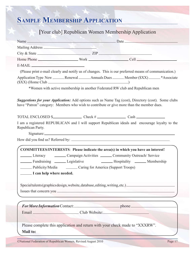# **Sample Membership Application**

### **[**Your club] Republican Women Membership Application

| Mailing Address                                                                                                                                                                                                               |                                                                               |                                                                                                                                                                                                         |  |
|-------------------------------------------------------------------------------------------------------------------------------------------------------------------------------------------------------------------------------|-------------------------------------------------------------------------------|---------------------------------------------------------------------------------------------------------------------------------------------------------------------------------------------------------|--|
| $City & State \_\_\_\_\_\_{}$ $ZIP \_\_\_\_\_\_\_\_{}$                                                                                                                                                                        |                                                                               |                                                                                                                                                                                                         |  |
|                                                                                                                                                                                                                               |                                                                               |                                                                                                                                                                                                         |  |
| E-MAIL Level and the state of the state of the state of the state of the state of the state of the state of the state of the state of the state of the state of the state of the state of the state of the state of the state |                                                                               |                                                                                                                                                                                                         |  |
|                                                                                                                                                                                                                               |                                                                               | (Please print e-mail clearly and notify us of changes. This is our preferred means of communication.)                                                                                                   |  |
| $(\$XX)$ (Home Club $\_\_\_\_\_\_\_\_\$                                                                                                                                                                                       |                                                                               | Application Type New ______Renewal _____Annuals Dues _____Member (\$XX) ______ *Associate                                                                                                               |  |
|                                                                                                                                                                                                                               |                                                                               | *Women with active membership in another Federated RW club and Republican men                                                                                                                           |  |
|                                                                                                                                                                                                                               |                                                                               | <b>Suggestions for your Application:</b> Add options such as Name Tag (cost), Directory (cost). Some clubs<br>have "Patron" category: Members who wish to contribute or give more than the member dues. |  |
|                                                                                                                                                                                                                               |                                                                               |                                                                                                                                                                                                         |  |
| Republican Party.                                                                                                                                                                                                             |                                                                               | I am a registered REPUBLICAN and I will support Republican ideals and encourage loyalty to the                                                                                                          |  |
|                                                                                                                                                                                                                               |                                                                               |                                                                                                                                                                                                         |  |
|                                                                                                                                                                                                                               |                                                                               | <b>COMMITTEES/INTERESTS: Please indicate the area(s) in which you have an interest!</b>                                                                                                                 |  |
|                                                                                                                                                                                                                               |                                                                               | Literacy Campaign Activities _______ Community Outreach/ Service                                                                                                                                        |  |
|                                                                                                                                                                                                                               |                                                                               | Fundraising _______ Legislative __________ Hospitality ________ Membership                                                                                                                              |  |
|                                                                                                                                                                                                                               | _________ Publicity/Media _______________ Caring for America (Support Troops) |                                                                                                                                                                                                         |  |
| I can help where needed.                                                                                                                                                                                                      |                                                                               |                                                                                                                                                                                                         |  |
|                                                                                                                                                                                                                               |                                                                               | Special talents (graphics design, website, database, editing, writing, etc.)                                                                                                                            |  |
|                                                                                                                                                                                                                               |                                                                               |                                                                                                                                                                                                         |  |
|                                                                                                                                                                                                                               |                                                                               |                                                                                                                                                                                                         |  |
|                                                                                                                                                                                                                               |                                                                               |                                                                                                                                                                                                         |  |
|                                                                                                                                                                                                                               | Email Club Website:                                                           |                                                                                                                                                                                                         |  |
|                                                                                                                                                                                                                               |                                                                               |                                                                                                                                                                                                         |  |
| <b>Mail to:</b>                                                                                                                                                                                                               | Please complete this application and return with your check made to "XXXRW".  |                                                                                                                                                                                                         |  |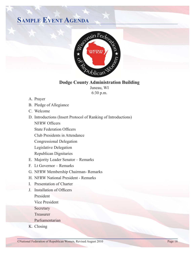# **Sample Event Agenda**



#### **Dodge County Administration Building**

Juneau, WI 6:30 p.m.

- A. Prayer
- B. Pledge of Allegiance
- C. Welcome
- D. Introductions (Insert Protocol of Ranking of Introductions) NFRW Officers
	- State Federation Officers
	- Club Presidents in Attendance
	- Congressional Delegation
	- Legislative Delegation
	- Republican Dignitaries
- E. Majority Leader Senator Remarks
- F. Lt Governor Remarks
- G. NFRW Membership Chairman- Remarks
- H. NFRW National President Remarks
- I. Presentation of Charter
- J. Installation of Officers
	- President
	- Vice President
	- Secretary
	- **Treasurer**
	- Parliamentarian
- K. Closing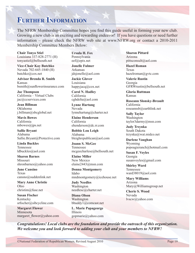## **Further Information**

The NFRW Membership Committee hopes you find this guide useful in forming your new club. Growing a new club is an exciting and rewarding endeavor! If you have questions or need further information – please check the NFRW web site at www.NFRW.org or contact a 2010-2011 Membership Committee Members Below:

**Chair Tonya Stiel** Louisiana 337-828-2771 (H) tonyastiel@bellsouth.net

**Vice-Chair Kay Butchko** Nevada 702-645-1840 (H) butchko@cox.net

**Advisor Brenda R. Smith** Kansas bsmith@sunflowerinsurance.com

**Jac Thompson** California – Virtual Clubs jac@ccservices.com

**Jean Billman** Oklahoma j.billman@sbcglobal.net

**Mavis Bowes** California mbowes@jps.net

**Sallie Bryant** Alabama Sallie.Bryant@Protective.com

**Linda Buckles** Tennessee ldbuckles@aol.com

**Sharon Barnes** Missouri shronbarnes@yahoo.com

**Jane Cansino** Texas cansno@suddenlink.net

**Mary Anne Christie** Ohio christim@fuse.net

**Susan Fischer** Kentucky srfischer@sibcycline.com

**Margaret Flower** Minnesota margaret\_flower@yahoo.com

**Ursula H. Fox** Pennsylvania eef@epix.net

**Jonelle Fulmer** Arkansas jdsjonelle@aol.com

**Jackie Glover** Louisiana happyjacq@cox.net

**Carol N. Hadley** California cghdelta@aol.com

**Lynne Hartung** Nevada lynnehartung@charter.nct

**Elaine Henderson** California ehenderson@dc.rr.com

**Bobbie Lou Leigh** Alabama bleighrepublican@aol.com

**Joann S. McGee** Tennessee mcgeecharlese@bellsouth.net

**Elaine Miller** New Mexico elaine2443@msn.com

**Donna Montgomery** Idaho mndmontgomery@icehouse.net

**Judy Needles** Washington needlesc@charter.net

**Diana Olson** Washington bbuddy1@comcast.net

**L. Marie Papageorge** Illinois gopmarie@yahoo.com **Sharon Pittard** Arizona pittsconsult@aol.com

**Hazel Roman** Texas hazelroman@gvtc.com

**Valerie Rustin** Georgia GFRWrustin@bellsouth.net

**Gloria Ruttman** Kansas

**Roseann Slonsky-Breault** California roseannsb@earthlink.net

**Sally Taylor** Washington taylor3darmy@msn.com

**Judy Trsynka** South Dakota trzynka@wat.midco.net

**Darlene Vaughan** Wyoming popoagieranch@hotmail.com

**Susan F. Voyles** Georgia susanvoyles@gmail.com

**Shirley Ward** Tennessee ward38019@aol.com

**Mary Williams** Arizona Mary@Williamsgroup.net

**Cherie S. Wood** Nevada lvscw@yahoo.com

*Congratulations! Local clubs are the foundation and provide the outreach of this organization. We welcome you and look forward to adding your club and your members to NFRW!*

©National Federation of Republican Women, Revised August 2010 Page 19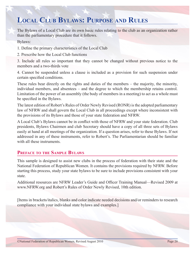# **Local Club Bylaws: Purpose and Rules**

The Bylaws of a Local Club are its own basic rules relating to the club as an organization rather than the parliamentary procedure that it follows.

Bylaws:

1. Define the primary characteristics of the Local Club

2. Prescribe how the Local Club functions

3. Include all rules so important that they cannot be changed without previous notice to the members and a two-thirds vote

4. Cannot be suspended unless a clause is included as a provision for such suspension under certain specified conditions.

These rules bear directly on the rights and duties of the members – the majority, the minority, individual members, and absentees – and the degree to which the membership retains control. Limitation of the power of an assembly (the body of members in a meeting) to act as a whole must be specified in the Bylaws.

The latest edition of Robert's Rules of Order Newly Revised (RONR) is the adopted parliamentary law of NFRW and shall govern the Local Club in all proceedings except where inconsistent with the provisions of its Bylaws and those of your state federation and NFRW.

A Local Club's Bylaws cannot be in conflict with those of NFRW and your state federation. Club presidents, Bylaws Chairmen and club Secretary should have a copy of all three sets of Bylaws easily at hand at all meetings of the organization. If a question arises, refer to these Bylaws. If not addressed in any of these instruments, refer to Robert's. The Parliamentarian should be familiar with all these instruments.

#### **Preface to the Sample Bylaws**

This sample is designed to assist new clubs in the process of federation with their state and the National Federation of Republican Women. It contains the provisions required by NFRW. Before starting this process, study your state bylaws to be sure to include provisions consistent with your state.

Additional resources are NFRW Leader's Guide and Officer Training Manual—Revised 2009 at www.NFRW.org and Robert's Rules of Order Newly Revised, 10th edition.

[Items in brackets/italics, blanks and color indicate needed decisions and/or reminders to research compliance with your individual state bylaws and examples.]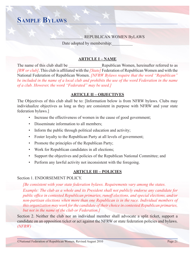# **Sample Bylaws**

#### REPUBLICAN WOMEN ByLAWS

Date adopted by membership:

#### **ARTICLE I – NAME**

The name of this club shall be **Example 20** Republican Women, hereinafter referred to as *[RW or club]*. This club is affiliated with the *[State]* Federation of Republican Women and with the National Federation of Republican Women. *[NFRW Bylaws require that the word "Republican" be included in the name of a local club and prohibits the use of the word Federation in the name of a club. However, the word "Federated" may be used.]*

#### **ARTICLE II – OBJECTIVES**

The Objectives of this club shall be to: [Information below is from NFRW bylaws. Clubs may individualize objectives as long as they are consistent in purpose with NFRW and your state federation bylaws.]

- Increase the effectiveness of women in the cause of good government;
- Disseminate information to all members;
- Inform the public through political education and activity;
- Foster loyalty to the Republican Party at all levels of government;
- Promote the principles of the Republican Party;
- Work for Republican candidates in all elections;
- Support the objectives and policies of the Republican National Committee; and
- Perform any lawful activity not inconsistent with the foregoing.

#### **ARTICLE III – POLICIES**

#### Section 1. ENDORSEMENT POLICY.

*[Be consistent with your state federation bylaws. Requirements vary among the states. Example: The club as a whole and its President shall not publicly endorse any candidate for public office in contested Republican primaries, runoff elections, and special elections, and/or non-partisan elections when more than one Republican is in the race. Individual members of this organization may work for the candidate of their choice in contested Republican primaries, but not in the name of the club or Federation.]*

Section 2. Neither the club nor an individual member shall advocate a split ticket, support a candidate on an opposition ticket or act against the NFRW or state federation policies and bylaws. *(NFRW)*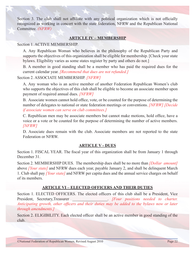Section 3. The club shall not affiliate with any political organization which is not officially recognized as working in concert with the state federation, NFRW and the Republican National Committee. *(NFRW)*

#### **ARTICLE IV – MEMBERSHIP**

Section 1. ACTIVE MEMBERSHIP.

A. Any Republican Woman who believes in the philosophy of the Republican Party and supports the objectives of this organization shall be eligible for membership. [Check your state bylaws. Eligibility varies as some states register by party and others do not.]

B. A member in good standing shall be a member who has paid the required dues for the current calendar year. *[Recommend that dues are not refunded.]* 

#### Section 2. ASSOCIATE MEMBERSHIP. *[NFRW]*

A. Any woman who is an active member of another Federation Republican Women's club who supports the objectives of this club shall be eligible to become an associate member upon payment of required annual dues. *[NFRW]*

B. Associate women cannot hold office, vote, or be counted for the purpose of determining the number of delegates to national or state federation meetings or conventions. *[NFRW] [Decide if associate women can serve on club committees.]*

C. Republican men may be associate members but cannot make motions, hold office, have a voice or a vote or be counted for the purpose of determining the number of active members. *[NFRW]*

D. Associate dues remain with the club. Associate members are not reported to the state Federation or NFRW.

#### **ARTICLE V - DUES**

Section 1. FISCAL YEAR. The fiscal year of this organization shall be from January 1 through December 31.

Section 2. MEMBERSHIP DUES. The membership dues shall be no more than *[Dollar amount]*  above *[Your state]* and NFRW dues each year, payable January 2, and shall be delinquent March 1. Club shall pay *[Your state]* and NFRW per capita dues and the annual service charges on behalf of its members.

#### **ARTICLE VI – ELECTED OFFICERS AND THEIR DUTIES**

Section 1. ELECTED OFFICERS. The elected officers of this club shall be a President, Vice President, Secretary,Treasurer \_\_\_\_\_\_\_\_\_\_\_\_\_\_\_\_\_. *[Four positions needed to charter. Anticipating growth, other officers and their duties may be added to the bylaws now or later through amendments.]*

Section 2. ELIGIBILITY. Each elected officer shall be an active member in good standing of the club.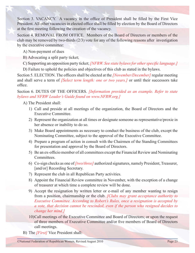Section 3. VACANCY. A vacancy in the office of President shall be filled by the First Vice President. All other vacancies in elected office shall be filled by election by the Board of Directors at the first meeting following the creation of the vacancy.

Section 4. REMOVAL FROM OFFICE. Members of the Board of Directors or members of the club may be removed by two-thirds (2/3) vote for any of the following reasons after investigation by the executive committee:

- A) Non-payment of dues
- B) Advocating a split party ticket;
- C) Supporting an opposition party ticket; *[NFRW. See state bylaws for other specific language.]*
- D) Failure to uphold the policies and objectives of this club as stated in the bylaws.

Section 5. ELECTION. The officers shall be elected at the *[November/December]* regular meeting and shall serve a term of *[Select term length: one or two years.]* or until their successors take office.

#### Section 6. DUTES OF THE OFFICERS. *[Information provided as an example. Refer to state bylaws and NFRW Leader's Guide found on www.NFRW.org.]*

- A) The President shall:
	- 1) Call and preside at all meetings of the organization, the Board of Directors and the Executive Committee.
	- 2) Represent the organization at all times or designate someone as representative/proxie in her absence or inability to do so.
	- 3) Make Board appointments as necessary to conduct the business of the club, except the Nominating Committee, subject to the approval of the Executive Committee.
	- 4) Prepare a program of action in consult with the Chairmen of the Standing Committees for presentation and approval by the Board of Directors.
	- 5) Be an ex-officio member of all committees except the Financial Review and Nominating Committees.
	- 6) Co-sign checks as one of *[two/three]* authorized signatures, namely President, Treasurer, [and/or] Recording Secretary.
	- 7) Represent the club in all Republican Party activities.
	- 8) Appoint the Financial Review committee in November, with the exception of a change of treasurer at which time a complete review will be done.
	- 9) Accept the resignation by written letter or e-mail of any member wanting to resign from a position, chairmanship or the club. *[Clubs may grant acceptance authority to Executive Committee. According to Robert's Rules, once a resignation is accepted by a vote, that decision cannot be rescinded, even if the person who resigned decides to change her mind.]*
	- 10)Call meetings of the Executive Committee and Board of Directors; or upon the request of three members of Executive Committee and/or five members of Board of Directors call meetings.
- B) The *[First]* Vice President shall: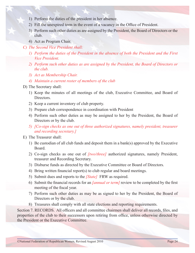- 1) Perform the duties of the president in her absence.
- 2) Fill the unexpired term in the event of a vacancy in the Office of President.
- 3) Perform such other duties as are assigned by the President, the Board of Directors or the club.
- 4) Act as Program Chair.
- *C) The Second Vice President shall:* 
	- *1) Perform the duties of the President in the absence of both the President and the First Vice President.*
	- *2) Perform such other duties as are assigned by the President, the Board of Directors or the club.*
	- *3) Act as Membership Chair.*
	- *4) Maintain a current roster of members of the club*
- D) The Secretary shall:
	- 1) Keep the minutes of all meetings of the club, Executive Committee, and Board of Directors.
	- 2) Keep a current inventory of club property.
	- 3) Prepare club correspondence in coordination with President
	- 4) Perform such other duties as may be assigned to her by the President, the Board of Directors or by the club.
	- *5) [Co-sign checks as one out of three authorized signatures, namely president, treasurer and recording secretary.]*

#### E) The Treasurer shall:

- 1) Be custodian of all club funds and deposit them in a bank(s) approved by the Executive Board.
- 2) Co-sign checks as one out of *[two/three]* authorized signatures, namely President, treasurer and Recording Secretary.
- 3) Disburse funds as directed by the Executive Committee or Board of Directors.
- 4) Bring written financial report(s) to club regular and board meetings.
- 5) Submit dues and reports to the *[State]* FRW as required.
- 6) Submit the financial records for an *[annual or term]* review to be completed by the first meeting of the fiscal year.
- 7) Perform such other duties as may be as signed to her by the President, the Board of Directors or by the club.
- 8) Treasures shall comply with all state elections and reporting requirements.

Section 7. RECORDS. All officers and all committee chairmen shall deliver all records, files, and properties of the club to their successors upon retiring from office, unless otherwise directed by the President or the Executive Committee.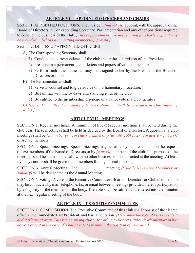#### **ARTICLE VII – APPOINTED OFFICERS AND CHAIRS**

Section 1. APPOINTED POSITIONS. The President *[may/shall]* appoint, with the approval of the Board of Directors, a Corresponding Secretary, Parliamentarian and any other positions required to conduct the business of the club. *[These appointments are not required for chartering, but may be included in bylaws anticipating membership growth.]* 

Section 2. DUTIES OF APPOINTED OFFICERS

A) The Corresponding Secretary shall:

- 1) Conduct the correspondence of the club under the supervision of the President.
- 2) Preserve in a permanent file all letters and papers of value to the club.
- 3) Perform such other duties as may be assigned to her by the President, the Board of Directors or the club.
- B) The Parliamentarian shall:
	- 1) Serve as counsel and to give advice on parliamentary procedure.
	- 2) Be familiar with the by-laws and standing rules of the club.
	- 3) Be entitled to the membership privilege of a ballot vote if a club member

*C) [Other Committee Chairmen's job descriptions can/will be provided in club Standing Rules.]*

#### **ARTICLE VIII – MEETINGS**

SECTION 1. Regular meetings. A minimum of five (5) regular meetings shall be held during the club year. These meetings shall be held as decided by the Board of Directors. A quorum at a club meetings shall be *[A number or % of club's membership (usually 15% to 29% of active members)]*  of Active members.

SECTION 2. Special meetings. Special meetings may be called by the president upon the request of five members of the Board of Directors or by *[# or %]* members of the club. The purpose of the meetings shall be stated in the call, with no other business to be transacted at the meeting. At least five days notice shall be given to all members for any special meeting

SECTION 3. Annual Meeting. The meeting *[Usually November, December or January* will be designated as the Annual Meeting.

SECTION 4. Voting. A vote of the Executive Committee, Board of Directors or Club membership may be conducted by mail, telephone, fax or email between meetings provided there is participation by a majority of the members of the body. The vote shall be ratified and entered into the minutes at the next regular meeting of the body.

#### **ARTICLE IX – EXECUTIVE COMMITTEE**

SECTION 1. COMPOSITION. The Executive Committee of this club shall consist of the elected officers, the Immediate Past President, and Parliamentarian. *[Determine the vote of Past President and Parliamentarian. This varies among clubs. According to Robert's Rules, Parliamentarian has no vote except in the case of a ballot vote to maintain the position of neutrality]*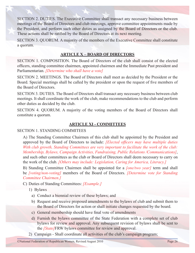SECTION 2. DUTIES. The Executive Committee shall transact any necessary business between meetings of the Board of Directors and club meetings, approve committee appointments made by the President, and perform such other duties as assigned by the Board of Directors or the club. These actions shall be ratified by the Board of Directors at its next meeting.

SECTION 3. QUORUM. A majority of the members of the Executive Committee shall constitute a quorum.

#### **ARTICLE X – BOARD OF DIRECTORS**

SECTION 1. COMPOSITION. The Board of Directors of the club shall consist of the elected officers, standing committee chairmen, appointed chairmen and the Immediate Past president and Parliamentarian. *[Determine who shall have a vote]* 

SECTION 2. MEETINGS. The Board of Directors shall meet as decided by the President or the Board. Special meetings shall be called by the president or upon the request of five members of the Board of Directors.

SECTION 3. DUTIES. The Board of Directors shall transact any necessary business between club meetings. It shall coordinate the work of the club, make recommendations to the club and perform other duties as decided by the club.

SECTION 4. QUORUM. A majority of the voting members of the Board of Directors shall constitute a quorum.

#### **ARTICLE XI - COMMITTEES**

#### SECTION 1. STANDING COMMITEES

A) The Standing Committee Chairmen of this club shall be appointed by the President and approved by the Board of Directors to include: *[Elected officers may have multiple duties With club growth, Standing Committees are very important to facilitate the work of the club: Membership, Bylaws, Campaign Activities, Fundraising, Public Relations /Communications]*, and such other committees as the club or Board of Directors shall deem necessary to carry on the work of the club. *[Others may include: Legislation, Caring for America, Literacy.]*

B) Standing Committee Chairmen shall be appointed for a *[one/two year]* term and shall be *[voting/non-voting]* members of the Board of Directors. *[Determine vote for Standing Committee Chairmen.]*

C) Duties of Standing Committees: *[Example.]*

1) Bylaws

- a) Conduct a biennial review of these bylaws; and
- b) Request and receive proposed amendments to the bylaws of club and submit them to the Board of Directors for action or shall initiate changes requested by the board.
- c) General membership should have final vote of amendments
- d) Furnish the bylaws committee of the State Federation with a complete set of club bylaws for review and approval. Any subsequent revision of bylaws shall be sent to the *[State]*FRW bylaws committee for review and approval.
- 2) Campaign Shall coordinate all activities of the club's campaign program;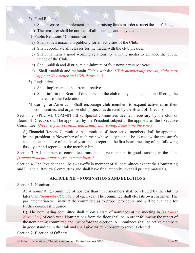- 3) Fund Raising
	- a) Shall prepare and implement a plan for raising funds in order to meet the club's budget;
	- b) The treasurer shall be notified of all meetings and may attend.
- 4) Public Relations / Communications
	- a) Shall solicit maximum publicity for all activities of the Club;
	- b) Shall coordinate all releases for the media with the club president;
	- c) Shall maintain a good working relationship with the media to enhance the public image of the Club.
	- d) Shall publish and distribute a minimum of four newsletters per year;
	- e) Shall establish and maintain Club's website. *[With membership growth, clubs may appoint Newsletter and Web chairmen.]*
- 5) Legislative
	- a) Shall implement club current directives;
	- b) Shall inform the Board of directors and the club of any state legislation affecting the interests of the Federation
- 6) Caring for America Shall encourage club members to expand activities in their communities; and organize club projects as directed by the Board of Directors.

Section 2. SPECIAL COMMITTEES. Special committees deemed necessary by the club or Board of Directors shall be appointed by the President subject to the approval of the Executive Committee. *[Not two-year positions and usually non-voting. Determine the vote.]*

A) Financial Review Committee. A committee of three active members shall be appointed by the president in November of each year whose duty it shall be to review the treasurer's accounts at the close of the fiscal year and to report at the first board meeting of the following fiscal year and reported to the membership.

Section 3. All members of committees must be active members in good standing in the club. *[Women associates may serve on committees.]*

Section 4. The President shall be an ex-officio member of all committees except the Nominating and Financial Review Committees and shall have final authority over all printed materials.

#### **ARTICLE XII – NOMINATIONS AND ELECTIONS**

Section 1. Nominations.

A) A nominating committee of not less than three members shall be elected by the club no later than *[September/October]* of each year. The committee shall elect its own chairman. The parliamentarian will instruct the committee as to proper procedure and will be available for further counsel if required.

B). The nominating committee shall report a slate of nominees at the meeting in *[October/ November]* of each year. Nominations from the floor shall be in order following the report of the nominating committee and just before the election. All nominees shall be active members in good standing in the club and shall give written consent to serve if elected.

Section 2. Election of Officers.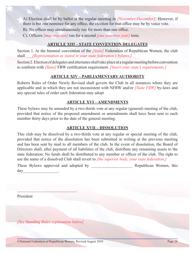A) Election shall be by ballot at the regular meeting in *[November/December]*. However, if there is but one nominee for any office, the election for that office may be by voice vote.

B). No officer may simultaneously run for more than one office.

C). Officers *[may/may not]* run for a second *[one year/two year]* term.

#### **ARTICLE XIII – STATE CONVENTION DELEGATES**

Section 1. At the biennial convention of the *[State]* Federation of Republican Women, the club shall *[Representation as stated in your state federation's bylaws.]* 

Section 2. Election of delegates and alternates shall take place at a regular meeting before convention to conform with *[State]* FRW certification requirement. *[Insert your state's requirements.]*

#### **ARTICLE XIV – PARLIAMENTARY AUTHORITY**

Roberts Rules of Order Newly Revised shall govern the Club in all instances where they are applicable and in which they are not inconsistent with NFRW and/or *[State FRW]* by-laws and any special rules of order each federation may adopt

#### **ARTICLE XVI – AMENDMENTS**

These bylaws may be amended by a two-thirds vote at any regular (general) meeting of the club, provided that notice of the proposed amendment or amendments shall have been sent to each member thirty days prior to the date of the general meeting.

#### **ARTICLE XVII – DISSOLUTION**

This club may be dissolved by a two-thirds vote at any regular or special meeting of the club, provided that notice of the dissolution has been submitted in writing at the previous meeting and has been sent by mail to all members of the club. In the event of dissolution, the Board of Directors shall, after payment of all liabilities of the club, distribute any remaining assets to the state federation. No funds shall be distributed to any member or officer of the club. The right to use the name of a dissolved Club shall revert to *[the superior body, your state federation.]*

|     | These Bylaws approved and adopted by |  |  | Republican Women, this |  |
|-----|--------------------------------------|--|--|------------------------|--|
| day |                                      |  |  |                        |  |

President

*[See Standing Rules explanation below]*

 $\mathcal{L}=\mathcal{L}=\mathcal{L}=\mathcal{L}=\mathcal{L}=\mathcal{L}=\mathcal{L}=\mathcal{L}=\mathcal{L}=\mathcal{L}=\mathcal{L}=\mathcal{L}=\mathcal{L}=\mathcal{L}=\mathcal{L}=\mathcal{L}=\mathcal{L}=\mathcal{L}=\mathcal{L}=\mathcal{L}=\mathcal{L}=\mathcal{L}=\mathcal{L}=\mathcal{L}=\mathcal{L}=\mathcal{L}=\mathcal{L}=\mathcal{L}=\mathcal{L}=\mathcal{L}=\mathcal{L}=\mathcal{L}=\mathcal{L}=\mathcal{L}=\mathcal{L}=\mathcal{L}=\mathcal{$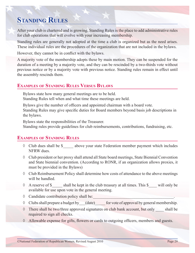## **Standing Rules**

After your club is chartered and is growing, Standing Rules is the place to add administrative rules for club operations that will evolve with your increasing membership.

Standing rules are generally not adopted at the time a club is organized but as the need arises. These individual rules are the procedures of the organization that are not included in the bylaws.

However, they cannot be in conflict with the bylaws.

A majority vote of the membership adopts these by main motion. They can be suspended for the duration of a meeting by a majority vote, and they can be rescinded by a two-thirds vote without previous notice or by a majority vote with previous notice. Standing rules remain in effect until the assembly rescinds them.

#### **Examples of Standing Rules Versus Bylaws**

Bylaws state how many general meetings are to be held. Standing Rules tell when and what time these meetings are held.

Bylaws give the number of officers and appointed chairman with a board vote. Standing Rules may give specific duties for Board members beyond basis job descriptions in the bylaws.

Bylaws state the responsibilities of the Treasurer.

Standing rules provide guidelines for club reimbursements, contributions, fundraising, etc.

#### **Examples of Standing Rules**

- ◊ Club dues shall be \$\_\_\_\_\_ above your state Federation member payment which includes NFRW dues.
- ◊ Club president or her proxy shall attend all State board meetings, State Biennial Convention and State biennial convention. (According to RONR, if an organization allows proxies, it must be provided in the Bylaws)
- ◊ Club Reimbursement Policy shall determine how costs of attendance to the above meetings will be handled.
- ◊ A reserve of \$\_\_\_\_\_ shall be kept in the club treasury at all times. This \$\_\_\_\_ will only be available for use upon vote in the general meeting.
- $\Diamond$  Candidate contribution policy shall be:
- ◊ Clubs shall prepare a budget by\_\_\_(date)\_\_\_\_\_ for vote of approval by general membership.
- $\Diamond$  There shall be two/three approved signatures on club bank account, but only shall be required to sign all checks.
- ◊ Allowable expense for gifts, flowers or cards to outgoing officers, members and guests.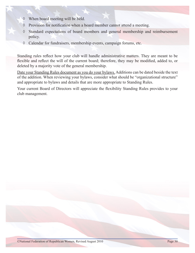- ◊ When board meeting will be held.
- ◊ Provision for notification when a board member cannot attend a meeting.
- ◊ Standard expectations of board members and general membership and reimbursement policy.
- ◊ Calendar for fundraisers, membership events, campaign forums, etc.

Standing rules reflect how your club will handle administrative matters. They are meant to be flexible and reflect the will of the current board; therefore, they may be modified, added to, or deleted by a majority vote of the general membership.

Date your Standing Rules document as you do your bylaws. Additions can be dated beside the text of the addition. When reviewing your bylaws, consider what should be "organizational structure" and appropriate to bylaws and details that are more appropriate to Standing Rules.

Your current Board of Directors will appreciate the flexibility Standing Rules provides to your club management.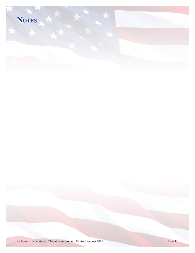

©National Federation of Republican Women, Revised August 2010 Page 31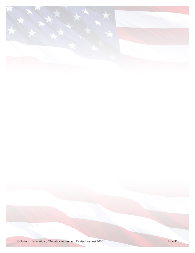

©National Federation of Republican Women, Revised August 2010 Page 32